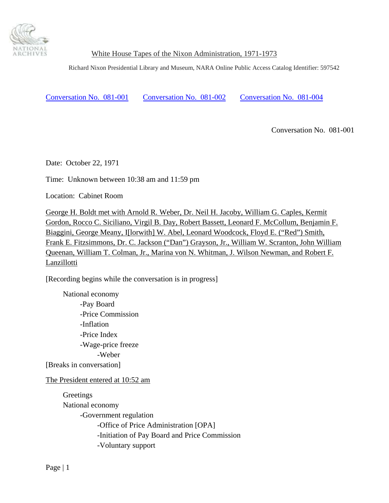

Richard Nixon Presidential Library and Museum, NARA Online Public Access Catalog Identifier: 597542

Conversation No. 081-001 [Conversation No.](#page-1-0) 081-002 [Conversation No](#page-11-0). 081-004

Conversation No. 081-001

Date: October 22, 1971

Time: Unknown between 10:38 am and 11:59 pm

Location: Cabinet Room

George H. Boldt met with Arnold R. Weber, Dr. Neil H. Jacoby, William G. Caples, Kermit Gordon, Rocco C. Siciliano, Virgil B. Day, Robert Bassett, Leonard F. McCollum, Benjamin F. Biaggini, George Meany, I[lorwith] W. Abel, Leonard Woodcock, Floyd E. ("Red") Smith, Frank E. Fitzsimmons, Dr. C. Jackson ("Dan") Grayson, Jr., William W. Scranton, John William Queenan, William T. Colman, Jr., Marina von N. Whitman, J. Wilson Newman, and Robert F. Lanzillotti

[Recording begins while the conversation is in progress]

 National economy -Pay Board -Price Commission -Inflation -Price Index -Wage-price freeze -Weber [Breaks in conversation]

The President entered at 10:52 am

 Greetings National economy -Government regulation -Office of Price Administration [OPA] -Initiation of Pay Board and Price Commission -Voluntary support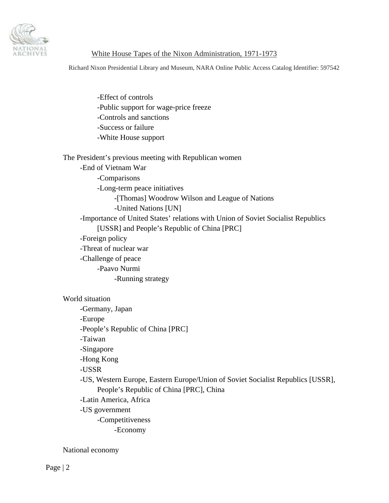<span id="page-1-0"></span>

Richard Nixon Presidential Library and Museum, NARA Online Public Access Catalog Identifier: 597542

-Effect of controls -Public support for wage-price freeze -Controls and sanctions -Success or failure -White House support

The President's previous meeting with Republican women -End of Vietnam War -Comparisons -Long-term peace initiatives -[Thomas] Woodrow Wilson and League of Nations -United Nations [UN] -Importance of United States' relations with Union of Soviet Socialist Republics [USSR] and People's Republic of China [PRC] -Foreign policy -Threat of nuclear war -Challenge of peace -Paavo Nurmi -Running strategy

#### World situation

-Germany, Japan -Europe -People's Republic of China [PRC] -Taiwan -Singapore -Hong Kong -USSR -US, Western Europe, Eastern Europe/Union of Soviet Socialist Republics [USSR], People's Republic of China [PRC], China -Latin America, Africa -US government -Competitiveness -Economy

National economy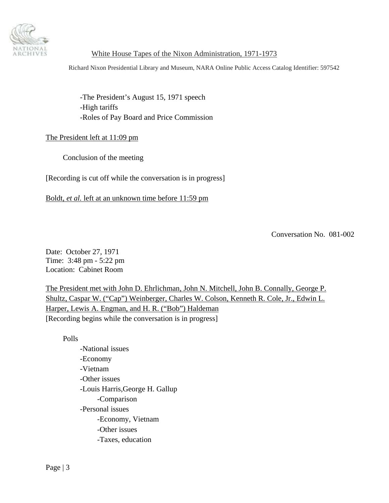

Richard Nixon Presidential Library and Museum, NARA Online Public Access Catalog Identifier: 597542

-The President's August 15, 1971 speech -High tariffs -Roles of Pay Board and Price Commission

#### The President left at 11:09 pm

Conclusion of the meeting

[Recording is cut off while the conversation is in progress]

Boldt, *et al.* left at an unknown time before 11:59 pm

Conversation No. 081-002

Date: October 27, 1971 Time: 3:48 pm - 5:22 pm Location: Cabinet Room

The President met with John D. Ehrlichman, John N. Mitchell, John B. Connally, George P. Shultz, Caspar W. ("Cap") Weinberger, Charles W. Colson, Kenneth R. Cole, Jr., Edwin L. Harper, Lewis A. Engman, and H. R. ("Bob") Haldeman [Recording begins while the conversation is in progress]

Polls

-National issues -Economy -Vietnam -Other issues -Louis Harris,George H. Gallup -Comparison -Personal issues -Economy, Vietnam -Other issues -Taxes, education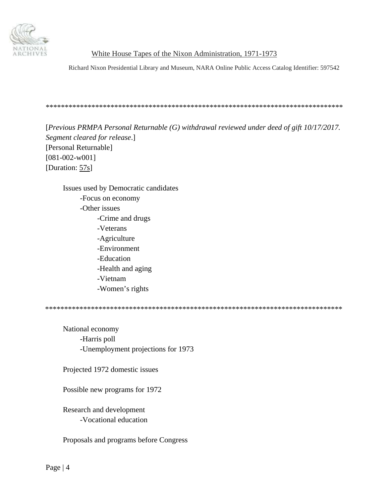

Richard Nixon Presidential Library and Museum, NARA Online Public Access Catalog Identifier: 597542

[Previous PRMPA Personal Returnable  $(G)$  withdrawal reviewed under deed of gift  $10/17/2017$ . Segment cleared for release.] [Personal Returnable]  $[081 - 002 - w001]$ [Duration: 57s]

Issues used by Democratic candidates -Focus on economy -Other issues -Crime and drugs -Veterans -Agriculture -Environment -Education -Health and aging -Vietnam -Women's rights

National economy -Harris poll -Unemployment projections for 1973

Projected 1972 domestic issues

Possible new programs for 1972

Research and development -Vocational education

Proposals and programs before Congress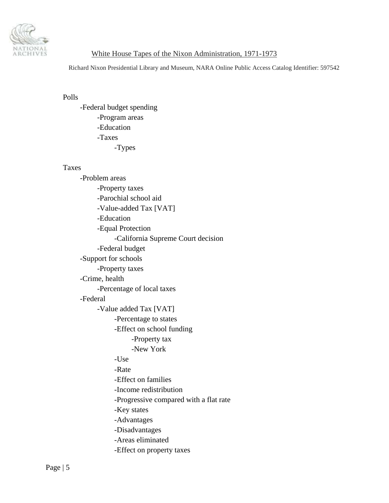

Richard Nixon Presidential Library and Museum, NARA Online Public Access Catalog Identifier: 597542

### Polls

-Federal budget spending -Program areas -Education -Taxes -Types

#### Taxes

| -Problem areas                         |
|----------------------------------------|
| -Property taxes                        |
| -Parochial school aid                  |
| -Value-added Tax [VAT]                 |
| -Education                             |
| -Equal Protection                      |
| -California Supreme Court decision     |
| -Federal budget                        |
| -Support for schools                   |
| -Property taxes                        |
| -Crime, health                         |
| -Percentage of local taxes             |
| -Federal                               |
| -Value added Tax [VAT]                 |
| -Percentage to states                  |
| -Effect on school funding              |
| -Property tax                          |
| -New York                              |
| -Use                                   |
| -Rate                                  |
| -Effect on families                    |
| -Income redistribution                 |
| -Progressive compared with a flat rate |
| -Key states                            |
| -Advantages                            |
| -Disadvantages                         |
| -Areas eliminated                      |
| -Effect on property taxes              |
|                                        |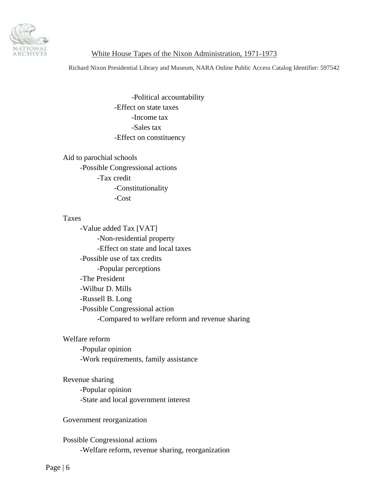

Richard Nixon Presidential Library and Museum, NARA Online Public Access Catalog Identifier: 597542

-Political accountability -Effect on state taxes -Income tax -Sales tax -Effect on constituency

Aid to parochial schools -Possible Congressional actions -Tax credit -Constitutionality -Cost

#### Taxes

-Value added Tax [VAT] -Non-residential property -Effect on state and local taxes -Possible use of tax credits -Popular perceptions -The President -Wilbur D. Mills -Russell B. Long -Possible Congressional action -Compared to welfare reform and revenue sharing

#### Welfare reform

-Popular opinion -Work requirements, family assistance

## Revenue sharing

-Popular opinion -State and local government interest

Government reorganization

 Possible Congressional actions -Welfare reform, revenue sharing, reorganization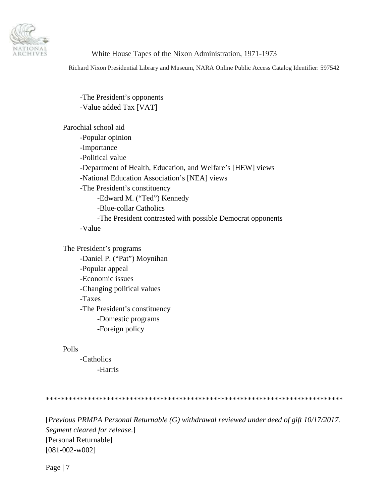

Richard Nixon Presidential Library and Museum, NARA Online Public Access Catalog Identifier: 597542

-The President's opponents -Value added Tax [VAT]

Parochial school aid -Popular opinion -Importance -Political value -Department of Health, Education, and Welfare's [HEW] views -National Education Association's [NEA] views -The President's constituency -Edward M. ("Ted") Kennedy -Blue-collar Catholics -The President contrasted with possible Democrat opponents -Value

The President's programs -Daniel P. ("Pat") Moynihan -Popular appeal -Economic issues -Changing political values -Taxes -The President's constituency -Domestic programs -Foreign policy

#### Polls

-Catholics -Harris

\*\*\*\*\*\*\*\*\*\*\*\*\*\*\*\*\*\*\*\*\*\*\*\*\*\*\*\*\*\*\*\*\*\*\*\*\*\*\*\*\*\*\*\*\*\*\*\*\*\*\*\*\*\*\*\*\*\*\*\*\*\*\*\*\*\*\*\*\*\*\*\*\*\*\*\*\*\*

[*Previous PRMPA Personal Returnable (G) withdrawal reviewed under deed of gift 10/17/2017. Segment cleared for release*.] [Personal Returnable] [081-002-w002]

Page | 7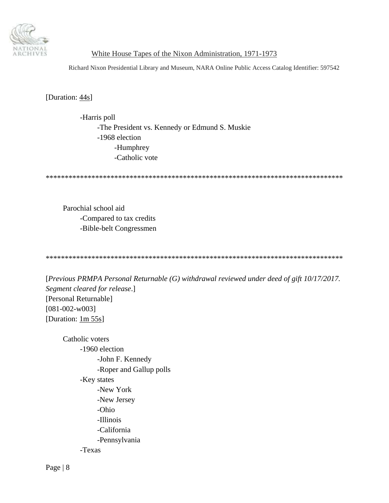

Richard Nixon Presidential Library and Museum, NARA Online Public Access Catalog Identifier: 597542

[Duration: 44s]

-Harris poll -The President vs. Kennedy or Edmund S. Muskie -1968 election -Humphrey -Catholic vote

Parochial school aid -Compared to tax credits -Bible-belt Congressmen

[Previous PRMPA Personal Returnable  $(G)$  withdrawal reviewed under deed of gift  $10/17/2017$ . Segment cleared for release.] [Personal Returnable]  $[081 - 002 - w003]$ [Duration:  $1m 55s$ ]

Catholic voters -1960 election -John F. Kennedy -Roper and Gallup polls -Key states -New York -New Jersey -Ohio -Illinois -California -Pennsylvania -Texas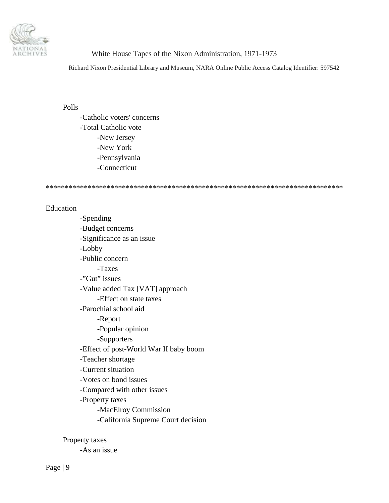

Richard Nixon Presidential Library and Museum, NARA Online Public Access Catalog Identifier: 597542

#### Polls

-Catholic voters' concerns -Total Catholic vote -New Jersey -New York -Pennsylvania -Connecticut

\*\*\*\*\*\*\*\*\*\*\*\*\*\*\*\*\*\*\*\*\*\*\*\*\*\*\*\*\*\*\*\*\*\*\*\*\*\*\*\*\*\*\*\*\*\*\*\*\*\*\*\*\*\*\*\*\*\*\*\*\*\*\*\*\*\*\*\*\*\*\*\*\*\*\*\*\*\*

## Education

-Spending -Budget concerns -Significance as an issue -Lobby -Public concern -Taxes -"Gut" issues -Value added Tax [VAT] approach -Effect on state taxes -Parochial school aid -Report -Popular opinion -Supporters -Effect of post-World War II baby boom -Teacher shortage -Current situation -Votes on bond issues -Compared with other issues -Property taxes -MacElroy Commission -California Supreme Court decision

Property taxes

-As an issue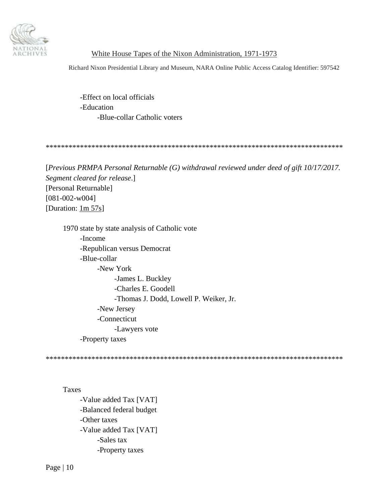

Richard Nixon Presidential Library and Museum, NARA Online Public Access Catalog Identifier: 597542

-Effect on local officials -Education -Blue-collar Catholic voters

\*\*\*\*\*\*\*\*\*\*\*\*\*\*\*\*\*\*\*\*\*\*\*\*\*\*\*\*\*\*\*\*\*\*\*\*\*\*\*\*\*\*\*\*\*\*\*\*\*\*\*\*\*\*\*\*\*\*\*\*\*\*\*\*\*\*\*\*\*\*\*\*\*\*\*\*\*\*

[*Previous PRMPA Personal Returnable (G) withdrawal reviewed under deed of gift 10/17/2017. Segment cleared for release*.] [Personal Returnable] [081-002-w004] [Duration:  $1m 57s$ ]

1970 state by state analysis of Catholic vote -Income -Republican versus Democrat -Blue-collar -New York -James L. Buckley -Charles E. Goodell -Thomas J. Dodd, Lowell P. Weiker, Jr. -New Jersey -Connecticut -Lawyers vote -Property taxes

\*\*\*\*\*\*\*\*\*\*\*\*\*\*\*\*\*\*\*\*\*\*\*\*\*\*\*\*\*\*\*\*\*\*\*\*\*\*\*\*\*\*\*\*\*\*\*\*\*\*\*\*\*\*\*\*\*\*\*\*\*\*\*\*\*\*\*\*\*\*\*\*\*\*\*\*\*\*

#### Taxes

-Value added Tax [VAT] -Balanced federal budget -Other taxes -Value added Tax [VAT] -Sales tax -Property taxes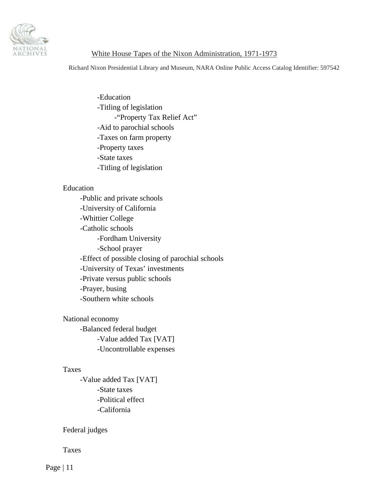

Richard Nixon Presidential Library and Museum, NARA Online Public Access Catalog Identifier: 597542

-Education -Titling of legislation -"Property Tax Relief Act" -Aid to parochial schools -Taxes on farm property -Property taxes -State taxes -Titling of legislation

#### Education

-Public and private schools -University of California -Whittier College -Catholic schools -Fordham University -School prayer -Effect of possible closing of parochial schools -University of Texas' investments -Private versus public schools -Prayer, busing -Southern white schools

 National economy -Balanced federal budget -Value added Tax [VAT] -Uncontrollable expenses

#### Taxes

-Value added Tax [VAT] -State taxes -Political effect -California

Federal judges

Taxes

Page | 11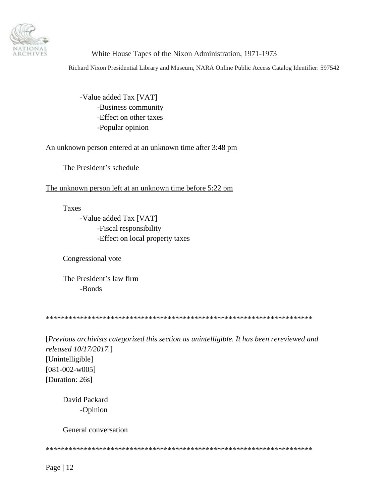<span id="page-11-0"></span>

Richard Nixon Presidential Library and Museum, NARA Online Public Access Catalog Identifier: 597542

-Value added Tax [VAT] -Business community -Effect on other taxes -Popular opinion

#### An unknown person entered at an unknown time after 3:48 pm

The President's schedule

The unknown person left at an unknown time before 5:22 pm

**Taxes** 

-Value added Tax [VAT] -Fiscal responsibility -Effect on local property taxes

Congressional vote

The President's law firm -Bonds

[Previous archivists categorized this section as unintelligible. It has been rereviewed and released 10/17/2017.] [Unintelligible]  $[081-002-w005]$ [Duration: 26s]

David Packard -Opinion

General conversation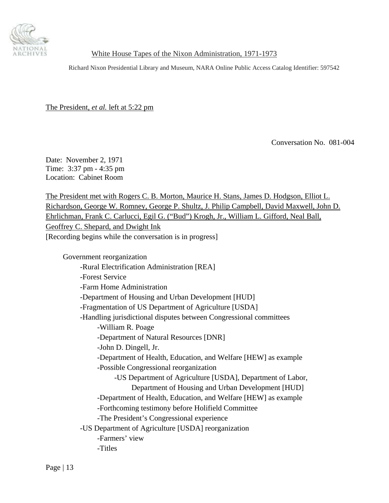

Richard Nixon Presidential Library and Museum, NARA Online Public Access Catalog Identifier: 597542

The President, *et al.* left at 5:22 pm

Conversation No. 081-004

Date: November 2, 1971 Time: 3:37 pm - 4:35 pm Location: Cabinet Room

The President met with Rogers C. B. Morton, Maurice H. Stans, James D. Hodgson, Elliot L. Richardson, George W. Romney, George P. Shultz, J. Philip Campbell, David Maxwell, John D. Ehrlichman, Frank C. Carlucci, Egil G. ("Bud") Krogh, Jr., William L. Gifford, Neal Ball, Geoffrey C. Shepard, and Dwight Ink [Recording begins while the conversation is in progress]

Government reorganization

-Rural Electrification Administration [REA] -Forest Service -Farm Home Administration -Department of Housing and Urban Development [HUD] -Fragmentation of US Department of Agriculture [USDA] -Handling jurisdictional disputes between Congressional committees -William R. Poage -Department of Natural Resources [DNR] -John D. Dingell, Jr. -Department of Health, Education, and Welfare [HEW] as example -Possible Congressional reorganization -US Department of Agriculture [USDA], Department of Labor, Department of Housing and Urban Development [HUD] -Department of Health, Education, and Welfare [HEW] as example -Forthcoming testimony before Holifield Committee -The President's Congressional experience -US Department of Agriculture [USDA] reorganization -Farmers' view -Titles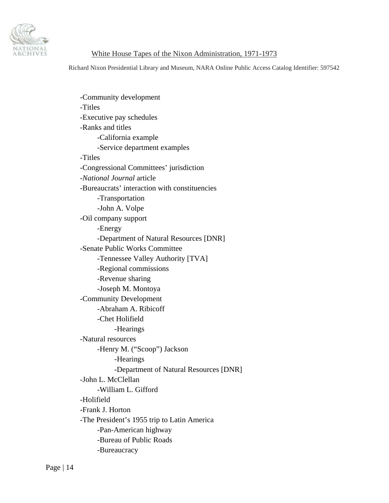

Richard Nixon Presidential Library and Museum, NARA Online Public Access Catalog Identifier: 597542

-Community development -Titles -Executive pay schedules -Ranks and titles -California example -Service department examples -Titles -Congressional Committees' jurisdiction -*National Journal* article -Bureaucrats' interaction with constituencies -Transportation -John A. Volpe -Oil company support -Energy -Department of Natural Resources [DNR] -Senate Public Works Committee -Tennessee Valley Authority [TVA] -Regional commissions -Revenue sharing -Joseph M. Montoya -Community Development -Abraham A. Ribicoff -Chet Holifield -Hearings -Natural resources -Henry M. ("Scoop") Jackson -Hearings -Department of Natural Resources [DNR] -John L. McClellan -William L. Gifford -Holifield -Frank J. Horton -The President's 1955 trip to Latin America -Pan-American highway -Bureau of Public Roads -Bureaucracy